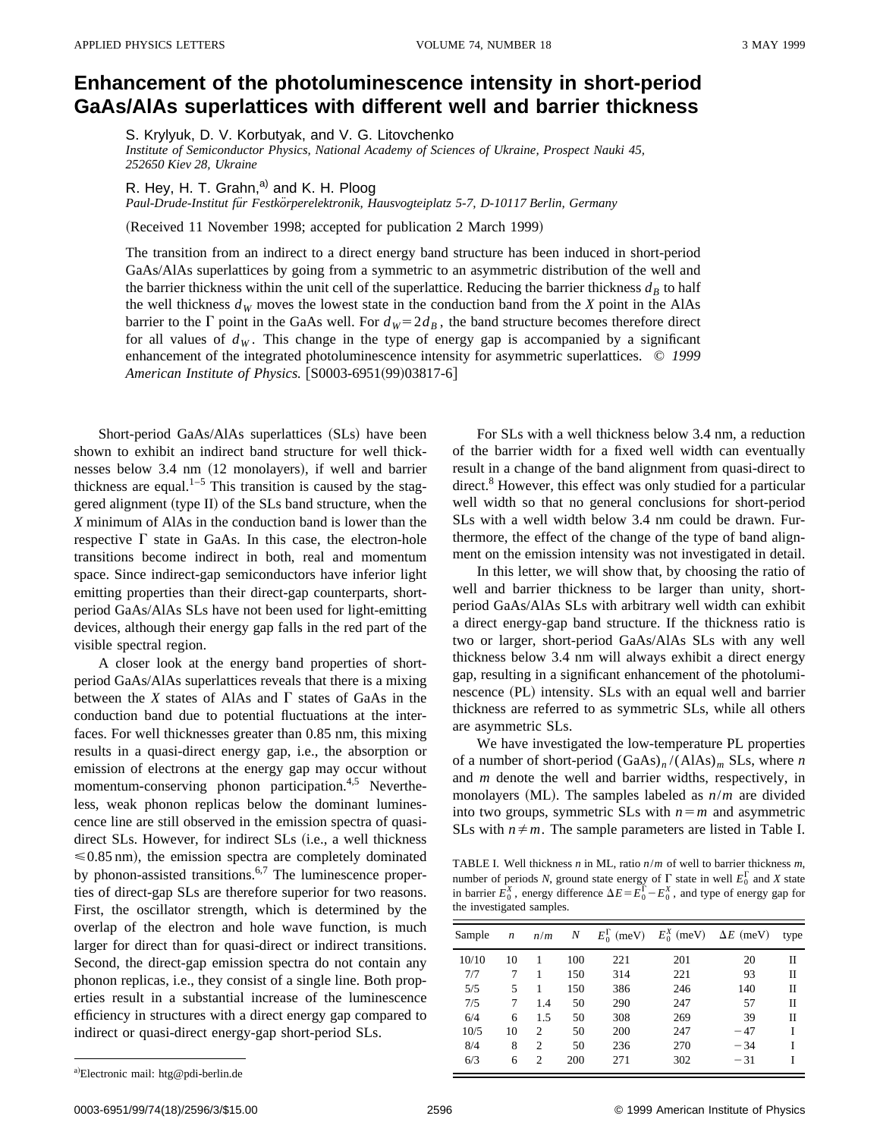## **Enhancement of the photoluminescence intensity in short-period GaAs/AlAs superlattices with different well and barrier thickness**

S. Krylyuk, D. V. Korbutyak, and V. G. Litovchenko

*Institute of Semiconductor Physics, National Academy of Sciences of Ukraine, Prospect Nauki 45, 252650 Kiev 28, Ukraine*

R. Hey, H. T. Grahn, $a$ ) and K. H. Ploog

*Paul-Drude-Institut fu¨r Festko¨rperelektronik, Hausvogteiplatz 5-7, D-10117 Berlin, Germany*

(Received 11 November 1998; accepted for publication 2 March 1999)

The transition from an indirect to a direct energy band structure has been induced in short-period GaAs/AlAs superlattices by going from a symmetric to an asymmetric distribution of the well and the barrier thickness within the unit cell of the superlattice. Reducing the barrier thickness  $d<sub>B</sub>$  to half the well thickness  $d<sub>W</sub>$  moves the lowest state in the conduction band from the *X* point in the AlAs barrier to the  $\Gamma$  point in the GaAs well. For  $d_W = 2d_B$ , the band structure becomes therefore direct for all values of  $d<sub>W</sub>$ . This change in the type of energy gap is accompanied by a significant enhancement of the integrated photoluminescence intensity for asymmetric superlattices. © *1999 American Institute of Physics.* [S0003-6951(99)03817-6]

Short-period GaAs/AlAs superlattices (SLs) have been shown to exhibit an indirect band structure for well thicknesses below 3.4 nm (12 monolayers), if well and barrier thickness are equal.<sup>1–5</sup> This transition is caused by the staggered alignment (type II) of the  $SLs$  band structure, when the *X* minimum of AlAs in the conduction band is lower than the respective  $\Gamma$  state in GaAs. In this case, the electron-hole transitions become indirect in both, real and momentum space. Since indirect-gap semiconductors have inferior light emitting properties than their direct-gap counterparts, shortperiod GaAs/AlAs SLs have not been used for light-emitting devices, although their energy gap falls in the red part of the visible spectral region.

A closer look at the energy band properties of shortperiod GaAs/AlAs superlattices reveals that there is a mixing between the *X* states of AlAs and  $\Gamma$  states of GaAs in the conduction band due to potential fluctuations at the interfaces. For well thicknesses greater than 0.85 nm, this mixing results in a quasi-direct energy gap, i.e., the absorption or emission of electrons at the energy gap may occur without momentum-conserving phonon participation.<sup>4,5</sup> Nevertheless, weak phonon replicas below the dominant luminescence line are still observed in the emission spectra of quasidirect SLs. However, for indirect SLs (i.e., a well thickness  $\leq 0.85$  nm), the emission spectra are completely dominated by phonon-assisted transitions.<sup>6,7</sup> The luminescence properties of direct-gap SLs are therefore superior for two reasons. First, the oscillator strength, which is determined by the overlap of the electron and hole wave function, is much larger for direct than for quasi-direct or indirect transitions. Second, the direct-gap emission spectra do not contain any phonon replicas, i.e., they consist of a single line. Both properties result in a substantial increase of the luminescence efficiency in structures with a direct energy gap compared to indirect or quasi-direct energy-gap short-period SLs.

For SLs with a well thickness below 3.4 nm, a reduction of the barrier width for a fixed well width can eventually result in a change of the band alignment from quasi-direct to direct.<sup>8</sup> However, this effect was only studied for a particular well width so that no general conclusions for short-period SLs with a well width below 3.4 nm could be drawn. Furthermore, the effect of the change of the type of band alignment on the emission intensity was not investigated in detail.

In this letter, we will show that, by choosing the ratio of well and barrier thickness to be larger than unity, shortperiod GaAs/AlAs SLs with arbitrary well width can exhibit a direct energy-gap band structure. If the thickness ratio is two or larger, short-period GaAs/AlAs SLs with any well thickness below 3.4 nm will always exhibit a direct energy gap, resulting in a significant enhancement of the photoluminescence (PL) intensity. SLs with an equal well and barrier thickness are referred to as symmetric SLs, while all others are asymmetric SLs.

We have investigated the low-temperature PL properties of a number of short-period (GaAs)*<sup>n</sup>* /(AlAs)*<sup>m</sup>* SLs, where *n* and *m* denote the well and barrier widths, respectively, in monolayers (ML). The samples labeled as  $n/m$  are divided into two groups, symmetric SLs with  $n=m$  and asymmetric SLs with  $n \neq m$ . The sample parameters are listed in Table I.

TABLE I. Well thickness *n* in ML, ratio *n*/*m* of well to barrier thickness *m*, number of periods *N*, ground state energy of  $\Gamma$  state in well  $E_0^{\Gamma}$  and *X* state in barrier  $E_0^X$ , energy difference  $\Delta E = E_0^{\Gamma} - E_0^X$ , and type of energy gap for the investigated samples.

| Sample | n  | n/m                         | $\boldsymbol{N}$ | $E_0^{\Gamma}$ (meV) | $E_0^X$ (meV) | $\Delta E$ (meV) | type |
|--------|----|-----------------------------|------------------|----------------------|---------------|------------------|------|
| 10/10  | 10 |                             | 100              | 221                  | 201           | 20               | П    |
| 7/7    |    |                             | 150              | 314                  | 221           | 93               | П    |
| 5/5    | 5  |                             | 150              | 386                  | 246           | 140              | П    |
| 7/5    | 7  | 1.4                         | 50               | 290                  | 247           | 57               | П    |
| 6/4    | 6  | 1.5                         | 50               | 308                  | 269           | 39               | Н    |
| 10/5   | 10 | $\mathcal{D}_{\mathcal{L}}$ | 50               | 200                  | 247           | $-47$            | I    |
| 8/4    | 8  | $\overline{c}$              | 50               | 236                  | 270           | $-34$            | T    |
| 6/3    | 6  | $\overline{c}$              | 200              | 271                  | 302           | $-31$            |      |

0003-6951/99/74(18)/2596/3/\$15.00 © 1999 American Institute of Physics 2596

a)Electronic mail: htg@pdi-berlin.de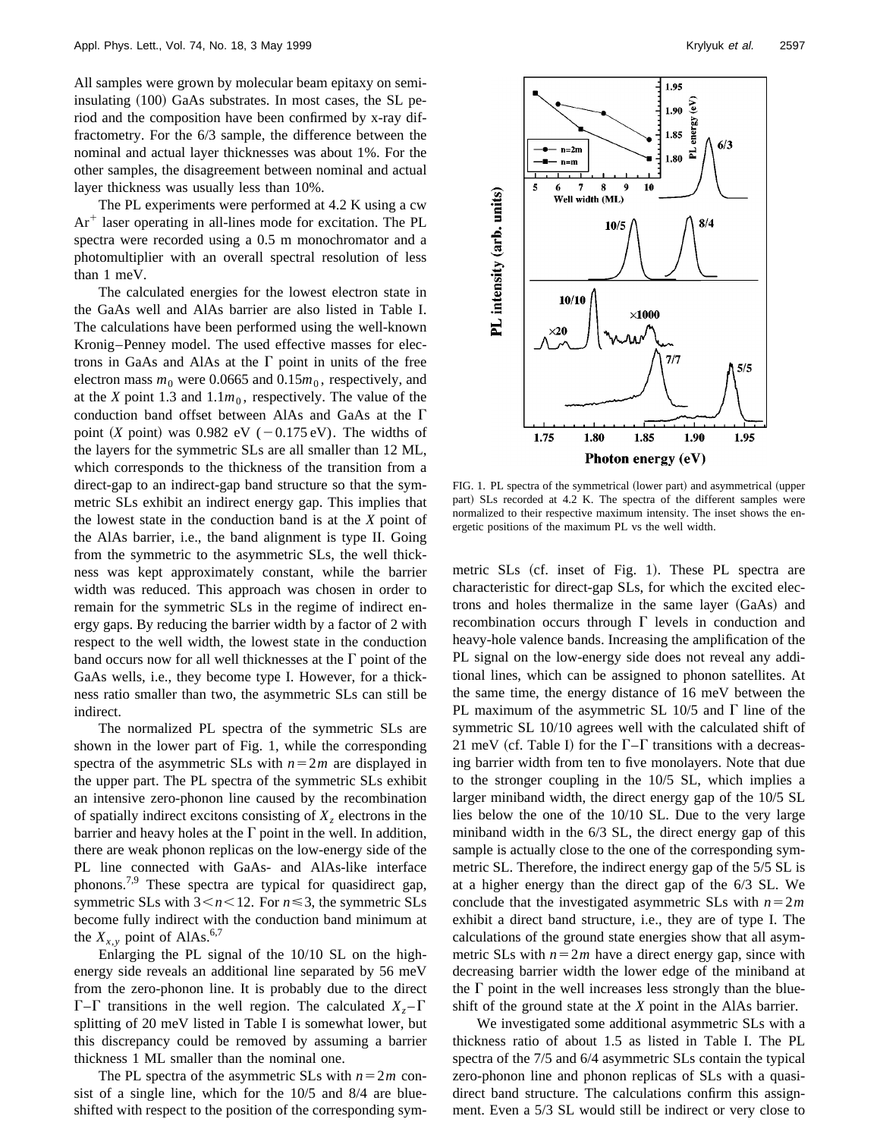All samples were grown by molecular beam epitaxy on semiinsulating  $(100)$  GaAs substrates. In most cases, the SL period and the composition have been confirmed by x-ray diffractometry. For the 6/3 sample, the difference between the nominal and actual layer thicknesses was about 1%. For the other samples, the disagreement between nominal and actual layer thickness was usually less than 10%.

The PL experiments were performed at 4.2 K using a cw  $Ar<sup>+</sup>$  laser operating in all-lines mode for excitation. The PL spectra were recorded using a 0.5 m monochromator and a photomultiplier with an overall spectral resolution of less than 1 meV.

The calculated energies for the lowest electron state in the GaAs well and AlAs barrier are also listed in Table I. The calculations have been performed using the well-known Kronig–Penney model. The used effective masses for electrons in GaAs and AlAs at the  $\Gamma$  point in units of the free electron mass  $m_0$  were 0.0665 and 0.15 $m_0$ , respectively, and at the *X* point 1.3 and  $1.1m_0$ , respectively. The value of the conduction band offset between AlAs and GaAs at the  $\Gamma$ point (*X* point) was 0.982 eV ( $-0.175$  eV). The widths of the layers for the symmetric SLs are all smaller than 12 ML, which corresponds to the thickness of the transition from a direct-gap to an indirect-gap band structure so that the symmetric SLs exhibit an indirect energy gap. This implies that the lowest state in the conduction band is at the *X* point of the AlAs barrier, i.e., the band alignment is type II. Going from the symmetric to the asymmetric SLs, the well thickness was kept approximately constant, while the barrier width was reduced. This approach was chosen in order to remain for the symmetric SLs in the regime of indirect energy gaps. By reducing the barrier width by a factor of 2 with respect to the well width, the lowest state in the conduction band occurs now for all well thicknesses at the  $\Gamma$  point of the GaAs wells, i.e., they become type I. However, for a thickness ratio smaller than two, the asymmetric SLs can still be indirect.

The normalized PL spectra of the symmetric SLs are shown in the lower part of Fig. 1, while the corresponding spectra of the asymmetric SLs with  $n=2m$  are displayed in the upper part. The PL spectra of the symmetric SLs exhibit an intensive zero-phonon line caused by the recombination of spatially indirect excitons consisting of  $X<sub>z</sub>$  electrons in the barrier and heavy holes at the  $\Gamma$  point in the well. In addition, there are weak phonon replicas on the low-energy side of the PL line connected with GaAs- and AlAs-like interface phonons.7,9 These spectra are typical for quasidirect gap, symmetric SLs with  $3 < n < 12$ . For  $n \le 3$ , the symmetric SLs become fully indirect with the conduction band minimum at the  $X_{x,y}$  point of AlAs.<sup>6,7</sup>

Enlarging the PL signal of the 10/10 SL on the highenergy side reveals an additional line separated by 56 meV from the zero-phonon line. It is probably due to the direct  $\Gamma$ – $\Gamma$  transitions in the well region. The calculated  $X$ <sub>z</sub>– $\Gamma$ splitting of 20 meV listed in Table I is somewhat lower, but this discrepancy could be removed by assuming a barrier thickness 1 ML smaller than the nominal one.

The PL spectra of the asymmetric SLs with  $n=2m$  consist of a single line, which for the 10/5 and 8/4 are blueshifted with respect to the position of the corresponding sym-



FIG. 1. PL spectra of the symmetrical (lower part) and asymmetrical (upper part) SLs recorded at 4.2 K. The spectra of the different samples were normalized to their respective maximum intensity. The inset shows the energetic positions of the maximum PL vs the well width.

metric  $SLs$  (cf. inset of Fig. 1). These PL spectra are characteristic for direct-gap SLs, for which the excited electrons and holes thermalize in the same layer (GaAs) and recombination occurs through  $\Gamma$  levels in conduction and heavy-hole valence bands. Increasing the amplification of the PL signal on the low-energy side does not reveal any additional lines, which can be assigned to phonon satellites. At the same time, the energy distance of 16 meV between the PL maximum of the asymmetric SL 10/5 and  $\Gamma$  line of the symmetric SL 10/10 agrees well with the calculated shift of 21 meV (cf. Table I) for the  $\Gamma$ - $\Gamma$  transitions with a decreasing barrier width from ten to five monolayers. Note that due to the stronger coupling in the 10/5 SL, which implies a larger miniband width, the direct energy gap of the 10/5 SL lies below the one of the 10/10 SL. Due to the very large miniband width in the 6/3 SL, the direct energy gap of this sample is actually close to the one of the corresponding symmetric SL. Therefore, the indirect energy gap of the 5/5 SL is at a higher energy than the direct gap of the 6/3 SL. We conclude that the investigated asymmetric SLs with  $n=2m$ exhibit a direct band structure, i.e., they are of type I. The calculations of the ground state energies show that all asymmetric SLs with  $n=2m$  have a direct energy gap, since with decreasing barrier width the lower edge of the miniband at the  $\Gamma$  point in the well increases less strongly than the blueshift of the ground state at the *X* point in the AlAs barrier.

We investigated some additional asymmetric SLs with a thickness ratio of about 1.5 as listed in Table I. The PL spectra of the 7/5 and 6/4 asymmetric SLs contain the typical zero-phonon line and phonon replicas of SLs with a quasidirect band structure. The calculations confirm this assignment. Even a 5/3 SL would still be indirect or very close to